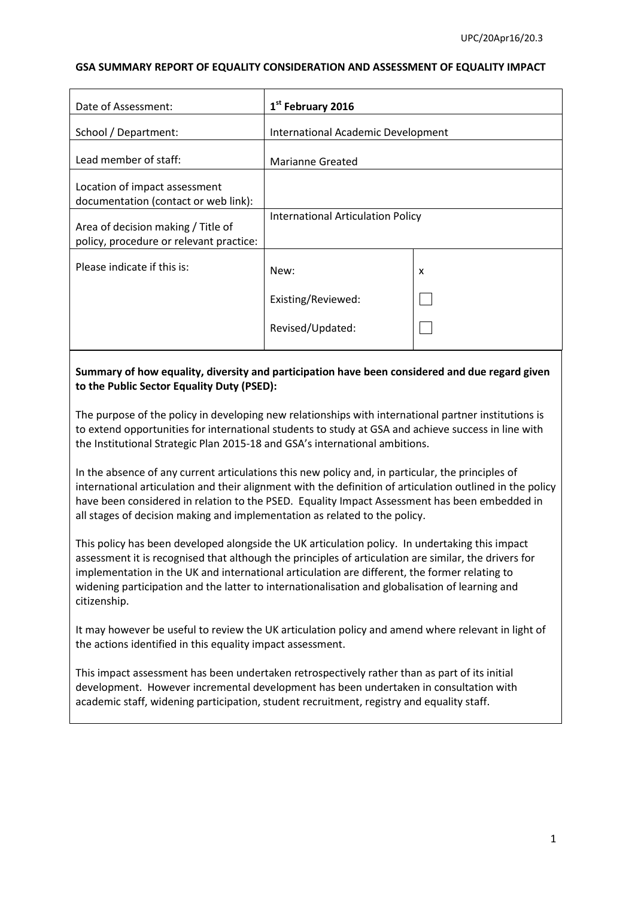#### **GSA SUMMARY REPORT OF EQUALITY CONSIDERATION AND ASSESSMENT OF EQUALITY IMPACT**

| Date of Assessment:                                                           | 1 <sup>st</sup> February 2016      |   |
|-------------------------------------------------------------------------------|------------------------------------|---|
| School / Department:                                                          | International Academic Development |   |
| Lead member of staff:                                                         | <b>Marianne Greated</b>            |   |
| Location of impact assessment<br>documentation (contact or web link):         |                                    |   |
| Area of decision making / Title of<br>policy, procedure or relevant practice: | International Articulation Policy  |   |
| Please indicate if this is:                                                   | New:                               | x |
|                                                                               | Existing/Reviewed:                 |   |
|                                                                               | Revised/Updated:                   |   |

## **Summary of how equality, diversity and participation have been considered and due regard given to the Public Sector Equality Duty (PSED):**

The purpose of the policy in developing new relationships with international partner institutions is to extend opportunities for international students to study at GSA and achieve success in line with the Institutional Strategic Plan 2015-18 and GSA's international ambitions.

In the absence of any current articulations this new policy and, in particular, the principles of international articulation and their alignment with the definition of articulation outlined in the policy have been considered in relation to the PSED. Equality Impact Assessment has been embedded in all stages of decision making and implementation as related to the policy.

This policy has been developed alongside the UK articulation policy. In undertaking this impact assessment it is recognised that although the principles of articulation are similar, the drivers for implementation in the UK and international articulation are different, the former relating to widening participation and the latter to internationalisation and globalisation of learning and citizenship.

It may however be useful to review the UK articulation policy and amend where relevant in light of the actions identified in this equality impact assessment.

This impact assessment has been undertaken retrospectively rather than as part of its initial development. However incremental development has been undertaken in consultation with academic staff, widening participation, student recruitment, registry and equality staff.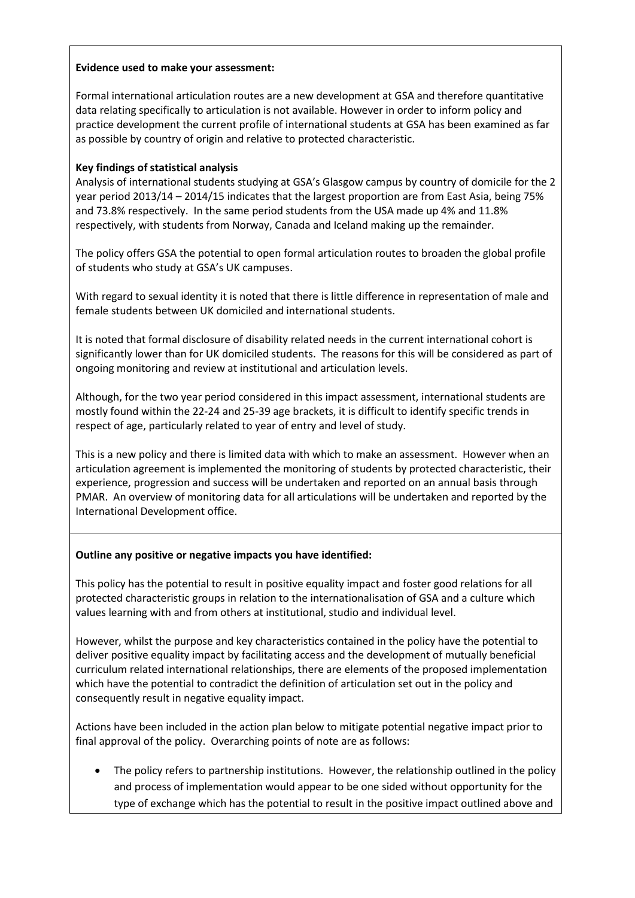#### **Evidence used to make your assessment:**

Formal international articulation routes are a new development at GSA and therefore quantitative data relating specifically to articulation is not available. However in order to inform policy and practice development the current profile of international students at GSA has been examined as far as possible by country of origin and relative to protected characteristic.

### **Key findings of statistical analysis**

Analysis of international students studying at GSA's Glasgow campus by country of domicile for the 2 year period 2013/14 – 2014/15 indicates that the largest proportion are from East Asia, being 75% and 73.8% respectively. In the same period students from the USA made up 4% and 11.8% respectively, with students from Norway, Canada and Iceland making up the remainder.

The policy offers GSA the potential to open formal articulation routes to broaden the global profile of students who study at GSA's UK campuses.

With regard to sexual identity it is noted that there is little difference in representation of male and female students between UK domiciled and international students.

It is noted that formal disclosure of disability related needs in the current international cohort is significantly lower than for UK domiciled students. The reasons for this will be considered as part of ongoing monitoring and review at institutional and articulation levels.

Although, for the two year period considered in this impact assessment, international students are mostly found within the 22-24 and 25-39 age brackets, it is difficult to identify specific trends in respect of age, particularly related to year of entry and level of study.

This is a new policy and there is limited data with which to make an assessment. However when an articulation agreement is implemented the monitoring of students by protected characteristic, their experience, progression and success will be undertaken and reported on an annual basis through PMAR. An overview of monitoring data for all articulations will be undertaken and reported by the International Development office.

### **Outline any positive or negative impacts you have identified:**

This policy has the potential to result in positive equality impact and foster good relations for all protected characteristic groups in relation to the internationalisation of GSA and a culture which values learning with and from others at institutional, studio and individual level.

However, whilst the purpose and key characteristics contained in the policy have the potential to deliver positive equality impact by facilitating access and the development of mutually beneficial curriculum related international relationships, there are elements of the proposed implementation which have the potential to contradict the definition of articulation set out in the policy and consequently result in negative equality impact.

Actions have been included in the action plan below to mitigate potential negative impact prior to final approval of the policy. Overarching points of note are as follows:

 The policy refers to partnership institutions. However, the relationship outlined in the policy and process of implementation would appear to be one sided without opportunity for the type of exchange which has the potential to result in the positive impact outlined above and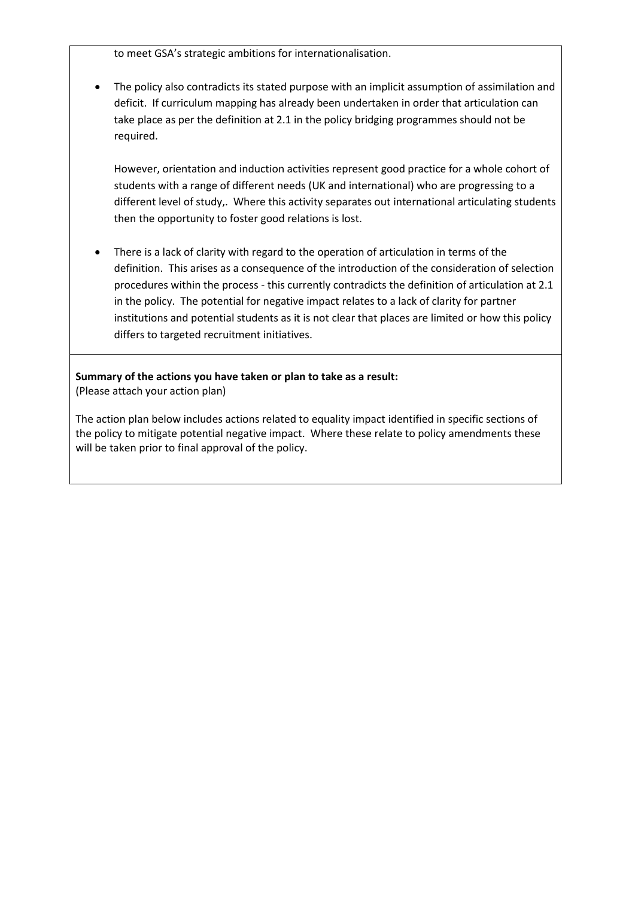to meet GSA's strategic ambitions for internationalisation.

 The policy also contradicts its stated purpose with an implicit assumption of assimilation and deficit. If curriculum mapping has already been undertaken in order that articulation can take place as per the definition at 2.1 in the policy bridging programmes should not be required.

However, orientation and induction activities represent good practice for a whole cohort of students with a range of different needs (UK and international) who are progressing to a different level of study,. Where this activity separates out international articulating students then the opportunity to foster good relations is lost.

 There is a lack of clarity with regard to the operation of articulation in terms of the definition. This arises as a consequence of the introduction of the consideration of selection procedures within the process - this currently contradicts the definition of articulation at 2.1 in the policy. The potential for negative impact relates to a lack of clarity for partner institutions and potential students as it is not clear that places are limited or how this policy differs to targeted recruitment initiatives.

**Summary of the actions you have taken or plan to take as a result:** (Please attach your action plan)

The action plan below includes actions related to equality impact identified in specific sections of the policy to mitigate potential negative impact. Where these relate to policy amendments these will be taken prior to final approval of the policy.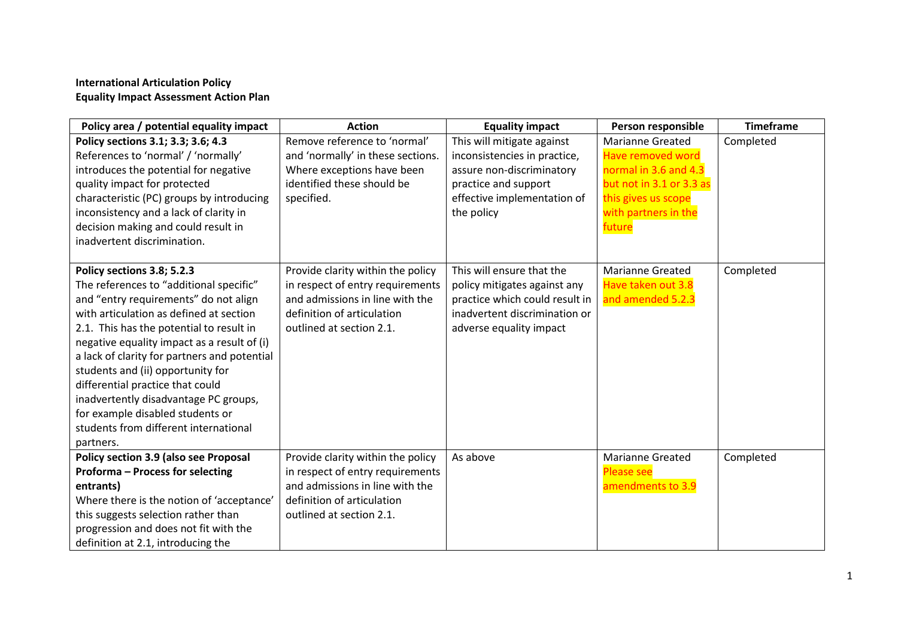# **International Articulation Policy Equality Impact Assessment Action Plan**

| Policy area / potential equality impact      | <b>Action</b>                     | <b>Equality impact</b>         | Person responsible       | <b>Timeframe</b> |
|----------------------------------------------|-----------------------------------|--------------------------------|--------------------------|------------------|
| Policy sections 3.1; 3.3; 3.6; 4.3           | Remove reference to 'normal'      | This will mitigate against     | <b>Marianne Greated</b>  | Completed        |
| References to 'normal' / 'normally'          | and 'normally' in these sections. | inconsistencies in practice,   | <b>Have removed word</b> |                  |
| introduces the potential for negative        | Where exceptions have been        | assure non-discriminatory      | normal in 3.6 and 4.3    |                  |
| quality impact for protected                 | identified these should be        | practice and support           | but not in 3.1 or 3.3 as |                  |
| characteristic (PC) groups by introducing    | specified.                        | effective implementation of    | this gives us scope      |                  |
| inconsistency and a lack of clarity in       |                                   | the policy                     | with partners in the     |                  |
| decision making and could result in          |                                   |                                | future                   |                  |
| inadvertent discrimination.                  |                                   |                                |                          |                  |
|                                              |                                   |                                |                          |                  |
| Policy sections 3.8; 5.2.3                   | Provide clarity within the policy | This will ensure that the      | <b>Marianne Greated</b>  | Completed        |
| The references to "additional specific"      | in respect of entry requirements  | policy mitigates against any   | Have taken out 3.8       |                  |
| and "entry requirements" do not align        | and admissions in line with the   | practice which could result in | and amended 5.2.3        |                  |
| with articulation as defined at section      | definition of articulation        | inadvertent discrimination or  |                          |                  |
| 2.1. This has the potential to result in     | outlined at section 2.1.          | adverse equality impact        |                          |                  |
| negative equality impact as a result of (i)  |                                   |                                |                          |                  |
| a lack of clarity for partners and potential |                                   |                                |                          |                  |
| students and (ii) opportunity for            |                                   |                                |                          |                  |
| differential practice that could             |                                   |                                |                          |                  |
| inadvertently disadvantage PC groups,        |                                   |                                |                          |                  |
| for example disabled students or             |                                   |                                |                          |                  |
| students from different international        |                                   |                                |                          |                  |
| partners.                                    |                                   |                                |                          |                  |
| Policy section 3.9 (also see Proposal        | Provide clarity within the policy | As above                       | <b>Marianne Greated</b>  | Completed        |
| Proforma - Process for selecting             | in respect of entry requirements  |                                | <b>Please see</b>        |                  |
| entrants)                                    | and admissions in line with the   |                                | amendments to 3.9        |                  |
| Where there is the notion of 'acceptance'    | definition of articulation        |                                |                          |                  |
| this suggests selection rather than          | outlined at section 2.1.          |                                |                          |                  |
| progression and does not fit with the        |                                   |                                |                          |                  |
| definition at 2.1, introducing the           |                                   |                                |                          |                  |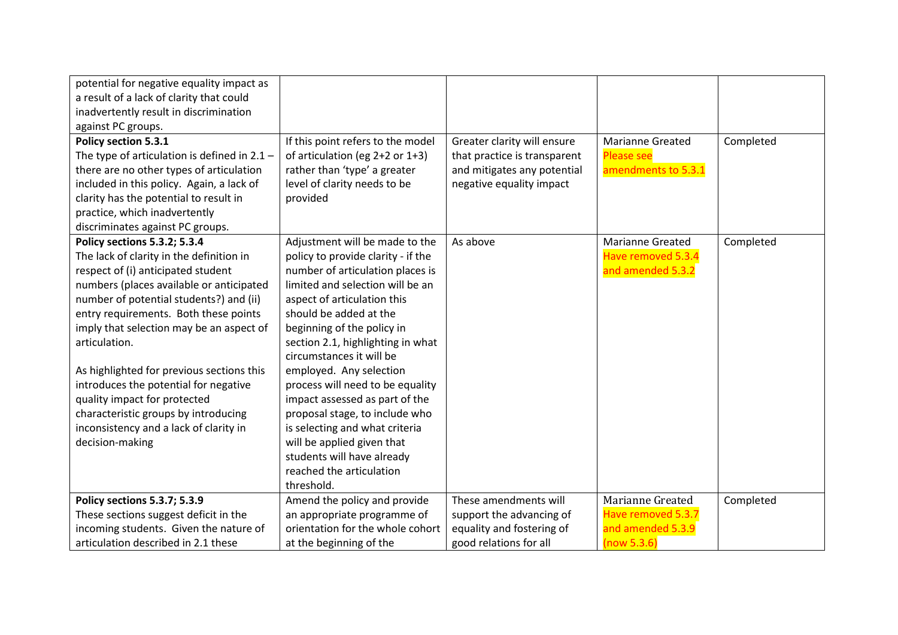| potential for negative equality impact as      |                                    |                              |                         |           |
|------------------------------------------------|------------------------------------|------------------------------|-------------------------|-----------|
| a result of a lack of clarity that could       |                                    |                              |                         |           |
| inadvertently result in discrimination         |                                    |                              |                         |           |
| against PC groups.                             |                                    |                              |                         |           |
| Policy section 5.3.1                           | If this point refers to the model  | Greater clarity will ensure  | <b>Marianne Greated</b> | Completed |
| The type of articulation is defined in $2.1 -$ | of articulation (eg 2+2 or 1+3)    | that practice is transparent | <b>Please see</b>       |           |
| there are no other types of articulation       | rather than 'type' a greater       | and mitigates any potential  | amendments to 5.3.1     |           |
| included in this policy. Again, a lack of      | level of clarity needs to be       | negative equality impact     |                         |           |
| clarity has the potential to result in         | provided                           |                              |                         |           |
| practice, which inadvertently                  |                                    |                              |                         |           |
| discriminates against PC groups.               |                                    |                              |                         |           |
| Policy sections 5.3.2; 5.3.4                   | Adjustment will be made to the     | As above                     | <b>Marianne Greated</b> | Completed |
| The lack of clarity in the definition in       | policy to provide clarity - if the |                              | Have removed 5.3.4      |           |
| respect of (i) anticipated student             | number of articulation places is   |                              | and amended 5.3.2       |           |
| numbers (places available or anticipated       | limited and selection will be an   |                              |                         |           |
| number of potential students?) and (ii)        | aspect of articulation this        |                              |                         |           |
| entry requirements. Both these points          | should be added at the             |                              |                         |           |
| imply that selection may be an aspect of       | beginning of the policy in         |                              |                         |           |
| articulation.                                  | section 2.1, highlighting in what  |                              |                         |           |
|                                                | circumstances it will be           |                              |                         |           |
| As highlighted for previous sections this      | employed. Any selection            |                              |                         |           |
| introduces the potential for negative          | process will need to be equality   |                              |                         |           |
| quality impact for protected                   | impact assessed as part of the     |                              |                         |           |
| characteristic groups by introducing           | proposal stage, to include who     |                              |                         |           |
| inconsistency and a lack of clarity in         | is selecting and what criteria     |                              |                         |           |
| decision-making                                | will be applied given that         |                              |                         |           |
|                                                | students will have already         |                              |                         |           |
|                                                | reached the articulation           |                              |                         |           |
|                                                | threshold.                         |                              |                         |           |
| Policy sections 5.3.7; 5.3.9                   | Amend the policy and provide       | These amendments will        | Marianne Greated        | Completed |
| These sections suggest deficit in the          | an appropriate programme of        | support the advancing of     | Have removed 5.3.7      |           |
| incoming students. Given the nature of         | orientation for the whole cohort   | equality and fostering of    | and amended 5.3.9       |           |
| articulation described in 2.1 these            | at the beginning of the            | good relations for all       | (now 5.3.6)             |           |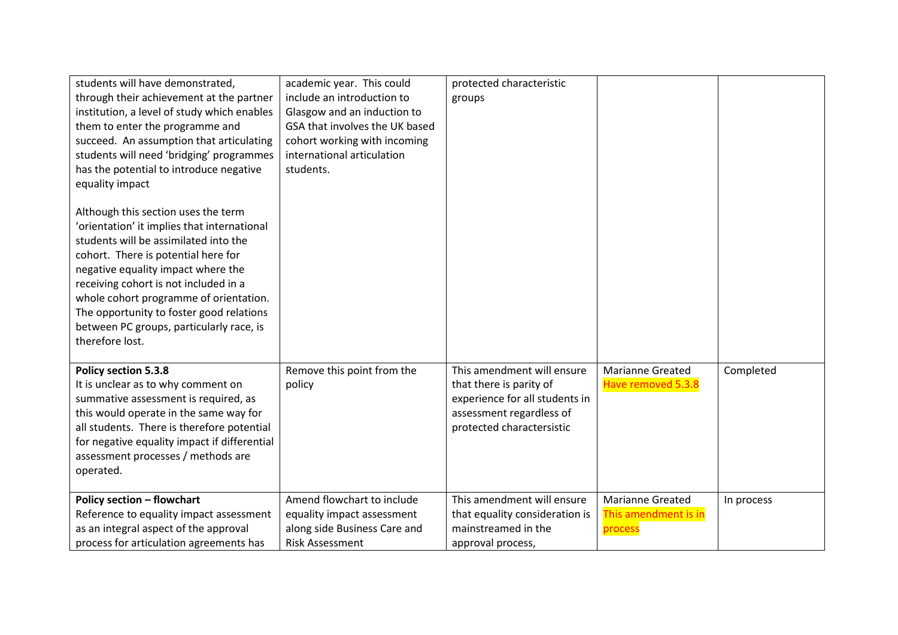| students will have demonstrated,<br>through their achievement at the partner<br>institution, a level of study which enables<br>them to enter the programme and<br>succeed. An assumption that articulating<br>students will need 'bridging' programmes<br>has the potential to introduce negative                                                                                                                         | academic year. This could<br>include an introduction to<br>Glasgow and an induction to<br>GSA that involves the UK based<br>cohort working with incoming<br>international articulation<br>students. | protected characteristic<br>groups                                                                                                               |                                                            |            |
|---------------------------------------------------------------------------------------------------------------------------------------------------------------------------------------------------------------------------------------------------------------------------------------------------------------------------------------------------------------------------------------------------------------------------|-----------------------------------------------------------------------------------------------------------------------------------------------------------------------------------------------------|--------------------------------------------------------------------------------------------------------------------------------------------------|------------------------------------------------------------|------------|
| equality impact<br>Although this section uses the term<br>'orientation' it implies that international<br>students will be assimilated into the<br>cohort. There is potential here for<br>negative equality impact where the<br>receiving cohort is not included in a<br>whole cohort programme of orientation.<br>The opportunity to foster good relations<br>between PC groups, particularly race, is<br>therefore lost. |                                                                                                                                                                                                     |                                                                                                                                                  |                                                            |            |
| Policy section 5.3.8<br>It is unclear as to why comment on<br>summative assessment is required, as<br>this would operate in the same way for<br>all students. There is therefore potential<br>for negative equality impact if differential<br>assessment processes / methods are<br>operated.                                                                                                                             | Remove this point from the<br>policy                                                                                                                                                                | This amendment will ensure<br>that there is parity of<br>experience for all students in<br>assessment regardless of<br>protected charactersistic | <b>Marianne Greated</b><br>Have removed 5.3.8              | Completed  |
| <b>Policy section - flowchart</b><br>Reference to equality impact assessment<br>as an integral aspect of the approval<br>process for articulation agreements has                                                                                                                                                                                                                                                          | Amend flowchart to include<br>equality impact assessment<br>along side Business Care and<br><b>Risk Assessment</b>                                                                                  | This amendment will ensure<br>that equality consideration is<br>mainstreamed in the<br>approval process,                                         | <b>Marianne Greated</b><br>This amendment is in<br>process | In process |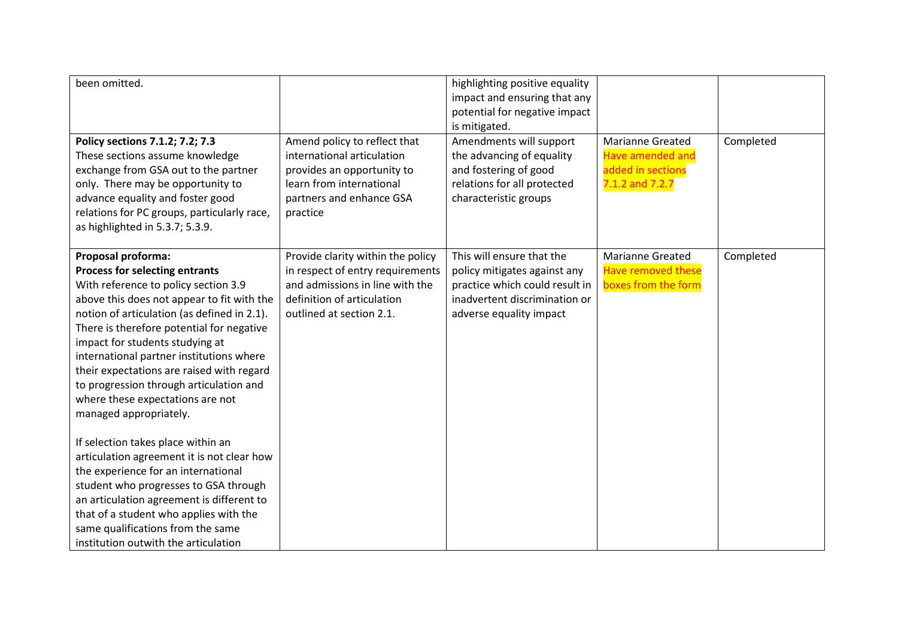| been omitted.<br>Policy sections 7.1.2; 7.2; 7.3<br>These sections assume knowledge<br>exchange from GSA out to the partner<br>only. There may be opportunity to<br>advance equality and foster good<br>relations for PC groups, particularly race,<br>as highlighted in 5.3.7; 5.3.9.                                                                                                                                                                                                                                                                                                                                                                                                                                                                                                                                     | Amend policy to reflect that<br>international articulation<br>provides an opportunity to<br>learn from international<br>partners and enhance GSA<br>practice       | highlighting positive equality<br>impact and ensuring that any<br>potential for negative impact<br>is mitigated.<br>Amendments will support<br>the advancing of equality<br>and fostering of good<br>relations for all protected<br>characteristic groups | <b>Marianne Greated</b><br><b>Have amended and</b><br>added in sections<br>7.1.2 and 7.2.7 | Completed |
|----------------------------------------------------------------------------------------------------------------------------------------------------------------------------------------------------------------------------------------------------------------------------------------------------------------------------------------------------------------------------------------------------------------------------------------------------------------------------------------------------------------------------------------------------------------------------------------------------------------------------------------------------------------------------------------------------------------------------------------------------------------------------------------------------------------------------|--------------------------------------------------------------------------------------------------------------------------------------------------------------------|-----------------------------------------------------------------------------------------------------------------------------------------------------------------------------------------------------------------------------------------------------------|--------------------------------------------------------------------------------------------|-----------|
| Proposal proforma:<br><b>Process for selecting entrants</b><br>With reference to policy section 3.9<br>above this does not appear to fit with the<br>notion of articulation (as defined in 2.1).<br>There is therefore potential for negative<br>impact for students studying at<br>international partner institutions where<br>their expectations are raised with regard<br>to progression through articulation and<br>where these expectations are not<br>managed appropriately.<br>If selection takes place within an<br>articulation agreement it is not clear how<br>the experience for an international<br>student who progresses to GSA through<br>an articulation agreement is different to<br>that of a student who applies with the<br>same qualifications from the same<br>institution outwith the articulation | Provide clarity within the policy<br>in respect of entry requirements<br>and admissions in line with the<br>definition of articulation<br>outlined at section 2.1. | This will ensure that the<br>policy mitigates against any<br>practice which could result in<br>inadvertent discrimination or<br>adverse equality impact                                                                                                   | <b>Marianne Greated</b><br><b>Have removed these</b><br>boxes from the form                | Completed |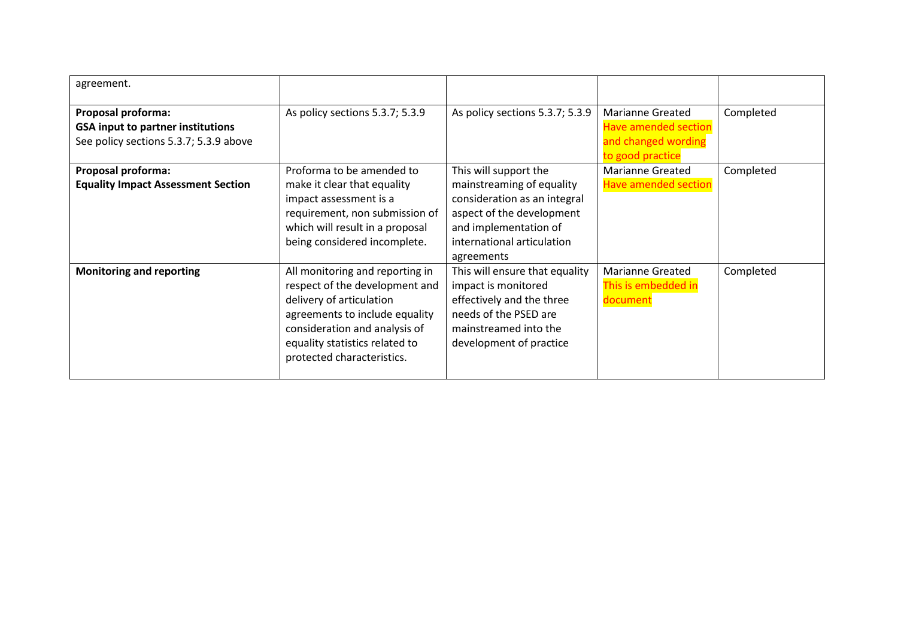| agreement.                                                                                                      |                                                                                                                                                                                                                                  |                                                                                                                                                                                      |                                                                                            |           |
|-----------------------------------------------------------------------------------------------------------------|----------------------------------------------------------------------------------------------------------------------------------------------------------------------------------------------------------------------------------|--------------------------------------------------------------------------------------------------------------------------------------------------------------------------------------|--------------------------------------------------------------------------------------------|-----------|
| <b>Proposal proforma:</b><br><b>GSA input to partner institutions</b><br>See policy sections 5.3.7; 5.3.9 above | As policy sections 5.3.7; 5.3.9                                                                                                                                                                                                  | As policy sections 5.3.7; 5.3.9                                                                                                                                                      | Marianne Greated<br><b>Have amended section</b><br>and changed wording<br>to good practice | Completed |
| <b>Proposal proforma:</b><br><b>Equality Impact Assessment Section</b>                                          | Proforma to be amended to<br>make it clear that equality<br>impact assessment is a<br>requirement, non submission of<br>which will result in a proposal<br>being considered incomplete.                                          | This will support the<br>mainstreaming of equality<br>consideration as an integral<br>aspect of the development<br>and implementation of<br>international articulation<br>agreements | <b>Marianne Greated</b><br><b>Have amended section</b>                                     | Completed |
| <b>Monitoring and reporting</b>                                                                                 | All monitoring and reporting in<br>respect of the development and<br>delivery of articulation<br>agreements to include equality<br>consideration and analysis of<br>equality statistics related to<br>protected characteristics. | This will ensure that equality<br>impact is monitored<br>effectively and the three<br>needs of the PSED are<br>mainstreamed into the<br>development of practice                      | <b>Marianne Greated</b><br>This is embedded in<br>document                                 | Completed |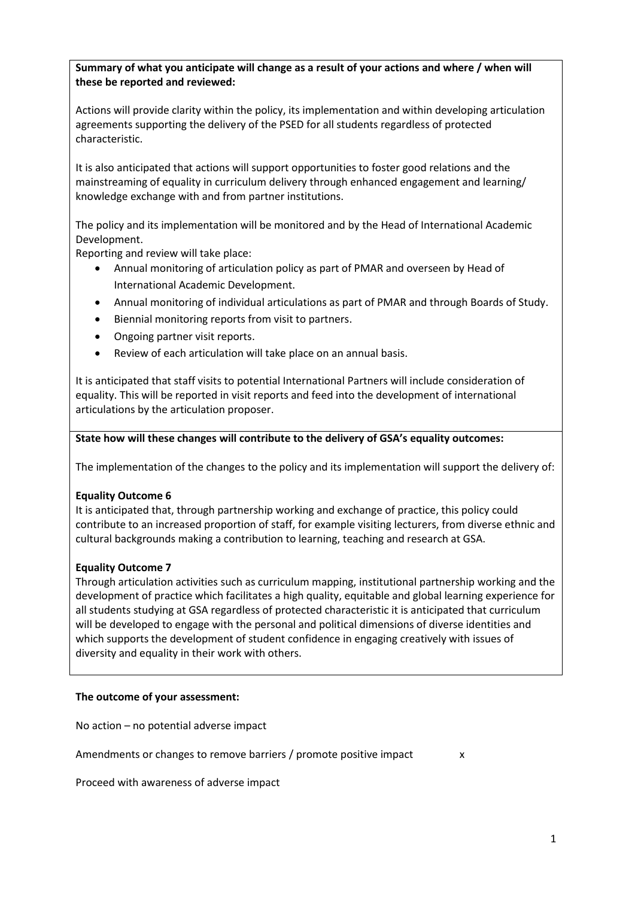### **Summary of what you anticipate will change as a result of your actions and where / when will these be reported and reviewed:**

Actions will provide clarity within the policy, its implementation and within developing articulation agreements supporting the delivery of the PSED for all students regardless of protected characteristic.

It is also anticipated that actions will support opportunities to foster good relations and the mainstreaming of equality in curriculum delivery through enhanced engagement and learning/ knowledge exchange with and from partner institutions.

The policy and its implementation will be monitored and by the Head of International Academic Development.

Reporting and review will take place:

- Annual monitoring of articulation policy as part of PMAR and overseen by Head of International Academic Development.
- Annual monitoring of individual articulations as part of PMAR and through Boards of Study.
- Biennial monitoring reports from visit to partners.
- Ongoing partner visit reports.
- Review of each articulation will take place on an annual basis.

It is anticipated that staff visits to potential International Partners will include consideration of equality. This will be reported in visit reports and feed into the development of international articulations by the articulation proposer.

#### **State how will these changes will contribute to the delivery of GSA's equality outcomes:**

The implementation of the changes to the policy and its implementation will support the delivery of:

### **Equality Outcome 6**

It is anticipated that, through partnership working and exchange of practice, this policy could contribute to an increased proportion of staff, for example visiting lecturers, from diverse ethnic and cultural backgrounds making a contribution to learning, teaching and research at GSA.

### **Equality Outcome 7**

Through articulation activities such as curriculum mapping, institutional partnership working and the development of practice which facilitates a high quality, equitable and global learning experience for all students studying at GSA regardless of protected characteristic it is anticipated that curriculum will be developed to engage with the personal and political dimensions of diverse identities and which supports the development of student confidence in engaging creatively with issues of diversity and equality in their work with others.

#### **The outcome of your assessment:**

No action – no potential adverse impact

Amendments or changes to remove barriers / promote positive impact x

Proceed with awareness of adverse impact